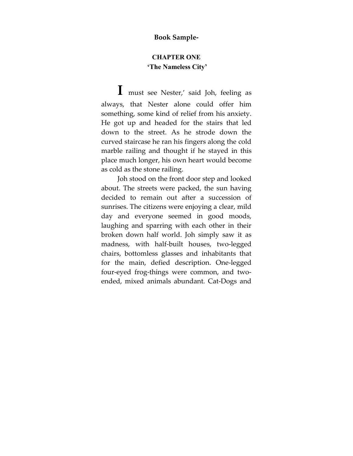## **Book Sample-**

## **CHAPTER ONE 'The Nameless City'**

**I** must see Nester,' said Joh, feeling as always, that Nester alone could offer him something, some kind of relief from his anxiety. He got up and headed for the stairs that led down to the street. As he strode down the curved staircase he ran his fingers along the cold marble railing and thought if he stayed in this place much longer, his own heart would become as cold as the stone railing.

Joh stood on the front door step and looked about. The streets were packed, the sun having decided to remain out after a succession of sunrises. The citizens were enjoying a clear, mild day and everyone seemed in good moods, laughing and sparring with each other in their broken down half world. Joh simply saw it as madness, with half-built houses, two-legged chairs, bottomless glasses and inhabitants that for the main, defied description. One-legged four-eyed frog-things were common, and twoended, mixed animals abundant. Cat-Dogs and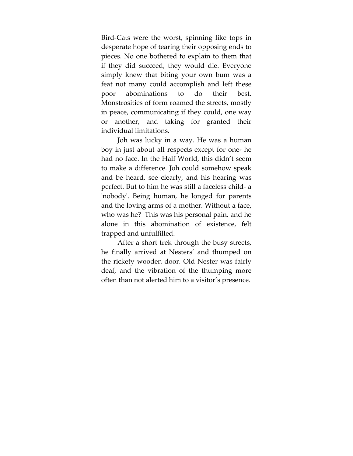Bird-Cats were the worst, spinning like tops in desperate hope of tearing their opposing ends to pieces. No one bothered to explain to them that if they did succeed, they would die. Everyone simply knew that biting your own bum was a feat not many could accomplish and left these poor abominations to do their best. Monstrosities of form roamed the streets, mostly in peace, communicating if they could, one way or another, and taking for granted their individual limitations.

Joh was lucky in a way. He was a human boy in just about all respects except for one- he had no face. In the Half World, this didn't seem to make a difference. Joh could somehow speak and be heard, see clearly, and his hearing was perfect. But to him he was still a faceless child- a ʹnobodyʹ. Being human, he longed for parents and the loving arms of a mother. Without a face, who was he? This was his personal pain, and he alone in this abomination of existence, felt trapped and unfulfilled.

After a short trek through the busy streets, he finally arrived at Nesters' and thumped on the rickety wooden door. Old Nester was fairly deaf, and the vibration of the thumping more often than not alerted him to a visitor's presence.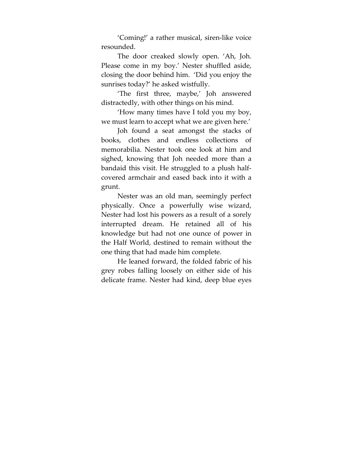'Coming!' a rather musical, siren-like voice resounded.

The door creaked slowly open. 'Ah, Joh. Please come in my boy.' Nester shuffled aside, closing the door behind him. 'Did you enjoy the sunrises today?' he asked wistfully.

'The first three, maybe,' Joh answered distractedly, with other things on his mind.

'How many times have I told you my boy, we must learn to accept what we are given here.'

Joh found a seat amongst the stacks of books, clothes and endless collections of memorabilia. Nester took one look at him and sighed, knowing that Joh needed more than a bandaid this visit. He struggled to a plush halfcovered armchair and eased back into it with a grunt.

Nester was an old man, seemingly perfect physically. Once a powerfully wise wizard, Nester had lost his powers as a result of a sorely interrupted dream. He retained all of his knowledge but had not one ounce of power in the Half World, destined to remain without the one thing that had made him complete.

He leaned forward, the folded fabric of his grey robes falling loosely on either side of his delicate frame. Nester had kind, deep blue eyes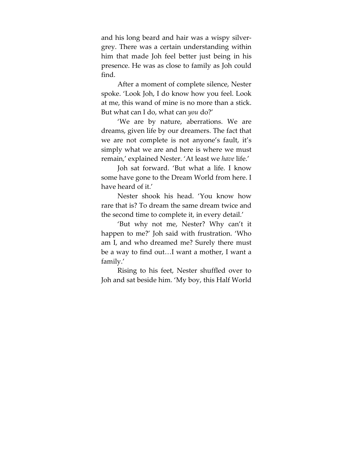and his long beard and hair was a wispy silvergrey. There was a certain understanding within him that made Joh feel better just being in his presence. He was as close to family as Joh could find.

After a moment of complete silence, Nester spoke. 'Look Joh, I do know how you feel. Look at me, this wand of mine is no more than a stick. But what can I do, what can *you* do?'

'We are by nature, aberrations. We are dreams, given life by our dreamers. The fact that we are not complete is not anyone's fault, it's simply what we are and here is where we must remain,' explained Nester. 'At least we *have* life.'

Joh sat forward. 'But what a life. I know some have gone to the Dream World from here. I have heard of it.'

Nester shook his head. 'You know how rare that is? To dream the same dream twice and the second time to complete it, in every detail.'

'But why not me, Nester? Why can't it happen to me?' Joh said with frustration. 'Who am I, and who dreamed me? Surely there must be a way to find out…I want a mother, I want a family.'

Rising to his feet, Nester shuffled over to Joh and sat beside him. 'My boy, this Half World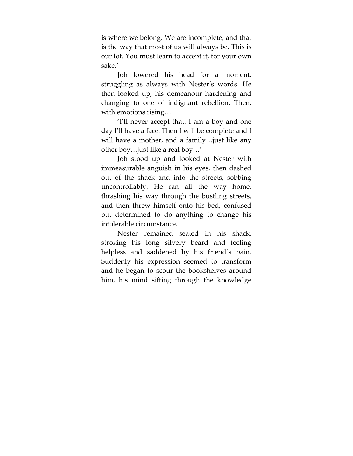is where we belong. We are incomplete, and that is the way that most of us will always be. This is our lot. You must learn to accept it, for your own sake.'

Joh lowered his head for a moment, struggling as always with Nester's words. He then looked up, his demeanour hardening and changing to one of indignant rebellion. Then, with emotions rising…

'I'll never accept that. I am a boy and one day I'll have a face. Then I will be complete and I will have a mother, and a family…just like any other boy…just like a real boy…'

Joh stood up and looked at Nester with immeasurable anguish in his eyes, then dashed out of the shack and into the streets, sobbing uncontrollably. He ran all the way home, thrashing his way through the bustling streets, and then threw himself onto his bed, confused but determined to do anything to change his intolerable circumstance.

Nester remained seated in his shack, stroking his long silvery beard and feeling helpless and saddened by his friend's pain. Suddenly his expression seemed to transform and he began to scour the bookshelves around him, his mind sifting through the knowledge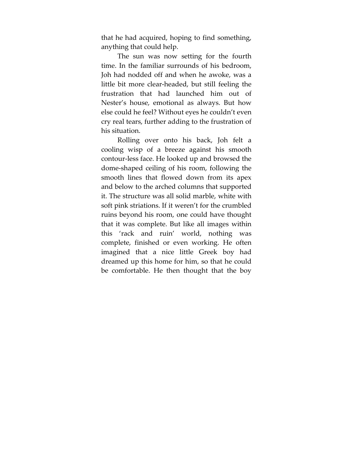that he had acquired, hoping to find something, anything that could help.

The sun was now setting for the fourth time. In the familiar surrounds of his bedroom, Joh had nodded off and when he awoke, was a little bit more clear-headed, but still feeling the frustration that had launched him out of Nester's house, emotional as always. But how else could he feel? Without eyes he couldn't even cry real tears, further adding to the frustration of his situation.

Rolling over onto his back, Joh felt a cooling wisp of a breeze against his smooth contour-less face. He looked up and browsed the dome-shaped ceiling of his room, following the smooth lines that flowed down from its apex and below to the arched columns that supported it. The structure was all solid marble, white with soft pink striations. If it weren't for the crumbled ruins beyond his room, one could have thought that it was complete. But like all images within this 'rack and ruin' world, nothing was complete, finished or even working. He often imagined that a nice little Greek boy had dreamed up this home for him, so that he could be comfortable. He then thought that the boy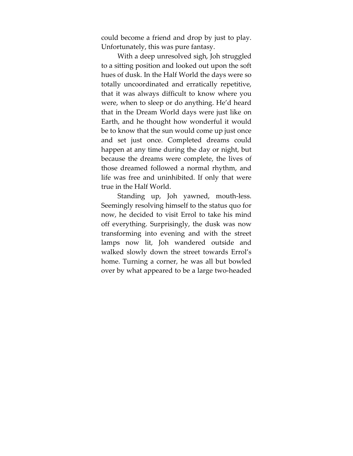could become a friend and drop by just to play. Unfortunately, this was pure fantasy.

With a deep unresolved sigh, Joh struggled to a sitting position and looked out upon the soft hues of dusk. In the Half World the days were so totally uncoordinated and erratically repetitive, that it was always difficult to know where you were, when to sleep or do anything. He'd heard that in the Dream World days were just like on Earth, and he thought how wonderful it would be to know that the sun would come up just once and set just once. Completed dreams could happen at any time during the day or night, but because the dreams were complete, the lives of those dreamed followed a normal rhythm, and life was free and uninhibited. If only that were true in the Half World.

Standing up, Joh yawned, mouth-less. Seemingly resolving himself to the status quo for now, he decided to visit Errol to take his mind off everything. Surprisingly, the dusk was now transforming into evening and with the street lamps now lit, Joh wandered outside and walked slowly down the street towards Errol's home. Turning a corner, he was all but bowled over by what appeared to be a large two-headed